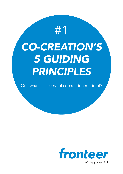# *CO-CREATION'S 5 GUIDING PRINCIPLES* #1

Or... what is successful co-creation made of?

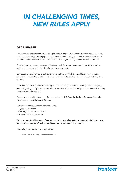### *IN CHALLENGING TIMES, NEW RULES APPLY*

#### DEAR READER,

Companies and organisations are searching for tools to help them win their day-to-day battles. They are faced with increasingly challenging questions: where to find future growth? How to deal with the risk of commoditisation? How to innovate from the core? How to get - or stay - connected with customers?

Our clients ask us: can co-creation provide the answer? Our answer: Yes it can, but as with many other solutions, co-creation will only truly deliver if it's done properly.

Co-creation is more than just a tool; it is a program of change. With 8 years of lead-user co-creation experience, Fronteer has identified a few strong recommendations to anyone wanting to venture out into this area.

In this white paper, we identify different types of co-creation (suitable for different types of challenges), present 5 guiding principles for success, discuss the value of co-creation and present a number of inspiring cases from around the world.

Fronteer works for global leaders in Communications, FMCG, Financial Services, Consumer Electronics, Internet Services and Consumer Durables.

This White Paper discusses the following topics:

- 4 Types of Co-creation
- 5 Guiding Principles in Co-creation
- 4 Areas of Value in Co-creation

We hope that this white-paper offers you inspiration as well as guidance towards initiating your own process of co-creation. We will be publishing more white-papers in the future.

This white-paper was distributed by Fronteer

The Author is Martijn Pater, partner at Fronteer

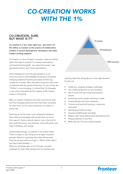### *CO-CREATION WORKS WITH THE 1%*

#### CO-CREATION, SURE. BUT WHAT IS IT?

Co-creation is a 'hot' topic right now - but what is it? We define co-creation as the practice of collaborative product or service development: developers and stakeholders working together.

Co-creation is a form of Open Innovation: ideas are shared, rather than kept to oneself. It is closely connected to and mentioned alongside - two other buzz-words: 'usergenerated content' and 'mass-customisation'.

Some background: over the past decade or so an enormous amount of knowledge has become accessible, changing traditional business processes and the way companies innovate. Also, educated consumers want more involvement with the products they buy. On top of that, the '1% Rule' is now emerging: it is found that 1% of people in any community generate the majority of the creative output in that group.

Many co-creation initiatives have been launched to deal with this changing world and some have been successful for some time, but for most companies, co-creation is pretty new.

Opening-up can be scary: most companies hesitate to share ideas and strategies with people that are not on their pay-roll. Quite a natural reaction, but in the end it's the results that count: new products, new profit pools, new ways of thinking, new energy.

Unfortunately though, co-creation is not a silver bullet. There is simply no such thing as an air-tight innovation process: there's no guarantee that ideas will succeed. Chances are very small you'll get a 1 Billion Dollar Idea in one day (a start perhaps...).

What you will always get out of it though, are great meetings of minds, fresh perspectives on business and



inspiring ideas that will guide you in the right direction. So why not:

- Tackle your toughest strategic challenges
- Get a fresh perspective on your business
- Get in touch with key trends and business drivers
- Unlock the world outside and bring it inside
- Cross-pollinate with other industries
- Connect and bond with partners, customers, consumers
- Identify good stuff out there
- Develop breakthrough new ideas
- Reduce risks; test products while developing them
- Bring excitement to the floor
- Work with the 1% most creative people

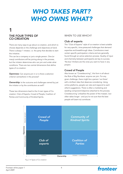### *WHO TAKES PART? WHO OWNS WHAT?*

#### THE FOUR TYPES OF CO-CREATION 1

There are many ways to go about co-creation, and which to choose depends on the challenge and objectives at hand. There is always 1 initiator, i.e. the party that decides to start the initiative.

This can be a company or just a single person. One (or many) contributors will be joining along in the process, but the initiator determines who can join and under what conditions. There are two central dimensions that define types of co-creation:

Openness: Can anyone join in or is there a selection criterion somewhere in the process?

**Ownership:** Is the outcome and challenges owned by just the initiator or by the contributors as well?

These two dimensions lead to the 4 main types of Cocreation: Club of Experts, Crowd of People, Coalition of Parties and Community of Kindred Spirits.

#### WHEN TO USE WHICH?

#### Club of experts

The ''Club of Experts" style of co-creation is best suitable for very specific, time-pressured challenges that demand expertise and breakthrough ideas. Contributors meet certain specific participation criteria and are generally found through an active selection process. Quality of input and chemistry between participants are key to success. 'No-box' thinkers are the ones you want to have in any project.

#### Crowd of People

Also known as "Crowdsourcing", this form is all about the Rule of Big Numbers: anyone can join. For any given challenge, there might be a person 'out there' with a brilliant idea that deserves considering. Using online platforms, people can rate and respond to each other's suggestions. There is often a marketing and seeding component/objective attached to the process. Crowdsourcing 'unleashes the power of the masses', but often takes longer - and you're not sure that the best people will (want to) contribute.



*Fig. 2: 4 Types of Co-creation*

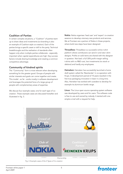#### Coalition of Parties

In certain complex situations, a "Coalition" of parties team up to share ideas and investments (co-branding is also an example of Coalition-style co-creation). Each of the parties brings a specific asset or skill to the party. Technical breakthroughs and the realisation of standards often happen only when multiple parties collaborate - especially important when capital expenditures are high. Key success factors include sharing knowledge and creating a common competitive advantage.

#### Community of kindred spirits

The "Community" form is most relevant when developing something for the greater good. Groups of people with similar interests and goals can come together and create. This model - so far - works mostly in software development and leverages the potential force of a large group of people with complementary areas of expertise.

We discuss four example cases; one for each type of cocreation. These example cases are discussed hereafter and illustrated in fig. 3.

Nokia: Nokia organises 'lead user' and 'expert' co-creation sessions to develop visionary new products and services. We at Fronteer are a partner of Nokia in these projects, where bold new steps have been designed.

Threadless: Threadless is a successful online t-shirt platform where contributors can send in and rate t-shirt designs. Profits on sold items are shared with the designer in question. Not bad: a full 30% profit margin selling t-shirts with no R&D cost, low investments (no stock or debtors) and hardly any employees.

Heineken: Heineken has successfully launched a home draft system called the 'Beertender' in co-operation with Krups. A development period of 10 years resulted in the first true packaging innovation in beer in a long time. Also, Heineken has worked with outsiders to develop for example its aluminium bottle range.

Linux: The Linux open source operating system software was developed by users and for users. The software code is free to use and owned by nobody. It started with one simple e-mail with a request for help.



*Fig. 3: Example cases of the 4 Types of Co-creation*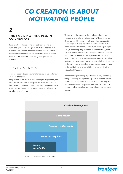### *CO-CREATION IS ABOUT MOTIVATING PEOPLE*

### $\overline{\mathbf{2}}$

#### THE 5 GUIDING PRINCIPLES IN CO-CREATION

In co-creation, there's a fine line between 'doing it right' and 'just not cracking it at all'. We've noticed that successful co-creation initiatives tend to have a number of characteristics in common. We've analysed and clustered them into the following "5 Guiding Principles in Cocreation":

#### 1. INSPIRE PARTICIPATION

- Trigger people to join your challenge: open up and show what's in it for them.

People tend to be more involved than you might think, and most want to contribute! People care about the products, brands and companies around them, but there needs to be a 'trigger' for them to actually participate in collaborative development with you.

To start with, the nature of the challenge should be interesting or challenging in some way. There could be direct personal benefits as well (e.g. when a product is being improved, or a monetary incentive involved). But most importantly. inspire people by (a) showing who you are, (b) explaining why you need their help and (c) what will be done with the results. Then give access to anyone who might be beneficial to the process and create a level playing field where all opinions are treated equally professionals, consumers and other stake-holders. Initiators and contributors to a project should have a common goal and should all stand to benefit from it: we call this the principle of Mutuality.

Understanding why people participate is only one thing though, creating the right atmosphere to achieve results is another. It is essential to offer an open and transparent environment where people feel welcome to contribute to your challenges - almost a place where they feel they belong.



*Fig. 4: 5 Guiding principles in Co-creation*

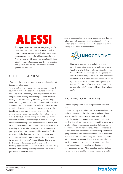

Example: Alessi has been inspiring designers for many years to contribute to the Alessi brand, in return for exposure and shared gains. Alessi has a long-standing history of working with designers. Next to working with acclaimed ones (e.g. Philippe Starck) it also invites groups (200+) of pre-selected designers to be working with them on the next generation products.

#### 2. SELECT THE VERY BEST

- You need the best ideas and the best people to deal with today's complex issues.

As in evolution, the selection process is crucial. In crowdsourcing you want the best ideas to surface & survive: screening is key - especially when large numbers of ideas are generated. For any online idea generation initiative, the big challenge is filtering and finding breakthrough ideas that bring new value to the company. Both the online community (rating, commenting) and the moderators play a crucial role there. In the end it is a competition for the best ideas. In lead user or expert co-creation the best people possible should participate - the whole point is to involve individuals whose backgrounds and experience somehow connect to the challenge at hand. How do you tap into the knowledge that already exists out there? How do you find lead users that pre-empt mainstream demand? How do you decide who belongs to the 1% you want as participants? Who has the merit, adds the value? Finding those great individuals can either be done by posting challenges online or through good-old detective work. What makes them special? Thought leadership, proven track record and expertise, creative and constructive thinking, peer recognition, communicative and connecting qualities - it all adds up to being someone who is really good in what he or she does.

And to conclude: team chemistry is essential and diversity is key, so a well-balanced mix of gender, nationalities, professions and interests produces the best results when brining those great minds together.



**Example:** Innocentive is a platform where scientists and other experts are gathered to solve tough scientific challenges. It was originally set up by Eli Lilly but now serves as a meeting space for almost 20 other companies as well. The track record is impressive: 30% of all problems posed are solved by the 100.000 or so scientists who signed up to be part of it. The platform is an open invitation to anyone who beliefs he can tackle problems others can't.

#### 3. CONNECT CREATIVE MINDS

- Enable bright people to work together and find that 'spark'.

Co-creation only works when the 'co' is very well executed and you capitalise on the talent that is gathered. Bringing people together is one thing, making sure people make the most of it is something completely different. Synchronicity (all participants resonating at the same wavelength) within a structured, constructive dialogue is what you need. As an initiator, you should listen, be receptive and be interested. Your task is to unlock the potential in a group of contributors and look for moments of revelation. You have to take people seriously and allow for criticism. Bridging the gap between the initiator and contributors is a fickle process: how does the interaction take place? In online environments excellent moderation and communication are key. When people meet face to face, the holy grail is to establish common ground and build

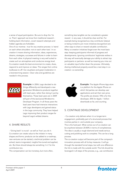a sense of equal participation. Be sure to drop the 'Us vs. Them' approach we know from traditional research holding back information, covert research attempts and hidden agendas are forbidden.

One of our mantras - true for any creative process- is 'stand on each others shoulders -not on each other toes'. In cocreation it means sharing information, ideas, experiences, dreams, strategies, successes and failures in order to learn from each other. A physical meeting is very well suited to create such an atmosphere and conducive energy level. Co-creation needs the best environment to create, share, respond to and improve on ideas. This ranges from online toolboxes to off- line visualisers and great moderation in a brainstorming session. Clear rules and guidelines are needed in this process.



Example: In 2004, Lego decided to do things differently and developed a new generation Mindstorms products together with lead users, rather than doing it just by themselves. These lead users are in 2009 still part of the (exclusive) Mindstorms Developer Program. In all those years the lead users have had intensive interactions with Lego developers and gained status in the Lego community. They have helped Lego improving their product ranges far beyond Lego's wildest dreams.

#### 4. SHARE RESULTS

- 'Giving back' is crucial - as well as 'how' you do it. Co-creation can create value to the initiator in many shapes and forms: products can be added to a roadmap, new ventures can be started, a technical problem can be solved, teams invigorated, insights fine-tuned and applied, etc. But there should always be something 'in it' for the contributors too.

This compensation can be monetary, but more often,

something less tangible can be considered a greater reward - in any case, it should be clear and fair. For example being recognised as a key contributor (status) or being invited to join more initiatives (recognition) are other ways to share or reward valuable contribution. Many co-creation initiatives forget even the most basic step: keeping participants informed of progress and developments. Ignoring contributors' legitimate wishes in this way will eventually damage your ability to attract top participants or partners- as well as meaning you miss out on valuable input further down the process. Ultimately, sharing intellectual property would be a next step in cocreation: co-ownership.



**Example:** The Apple iPhone App store is a platform for the Apple iPhone on which 3rd parties can develop user applications and set their own price. The profits are shared, 70% is for the developer, 30% for Apple. 1 billion downloads so far, and counting.

#### 5. CONTINUE DEVELOPMENT

- Co-creation only delivers when it is a longer-term engagement, preferably part of a structured process that involves parties in- and outside your company. This is the hard part. What comes out of co-creation can be anywhere between 20-80% in terms of completeness. The idea is usually a rough diamond and needs serious cutting and polishing work to complete. This can be a long process.

The co-creation output will become part of the company's innovation process with all its key measures. It will go through the standard funnel steps, but with one difference: the link is made with the outside world. This link should be leveraged in all steps of the process, e.g., use contributors

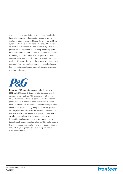and their specific knowledge to get constant feedback. Internally, sponsors and connectors should drive the implementation forward and tackle the 'not invented here' syndrome if it rears its ugly head. One should learn from co-creation in the meantime and continuously adapt the process for the next time, thus forming a learning cycle. From a contributors point of view, when you have created something, you want to see what happens to it. Open innovation involves an implicit promise to keep people in the loop. It's a way of showing the respect you have for the time and effort they put into it: open communication and frequent status updates are very well received by anyone who has participated.



Example: P&G started a company-wide initiative in 2002 called Connect & Develop: it invites people and companies from outside P&G to innovate with them: P&G offering the scale and expertise, outsiders offering great ideas. "Proudly Developed Elsewhere" is one of their new claims. For Procter & Gamble for example it has become the way of working. People are encouraged to look beyond the traditional roles and responsibilities. For example, marketing agencies are involved in new product development early on, in other categories inspiration is found for pricing strategies and with suppliers new breakthrough developments are found. This lies far beyond the direct measurable results of one co- creation initiative but probably bring more value to a company and its customers in the end.

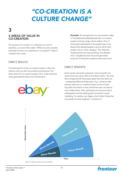## *"CO-CREATION IS A CULTURE CHANGE"*

#### 4 AREAS OF VALUE IN CO-CREATION 3

The process of co-creation is a relatively new area of expertise, so we are often asked: "What are some concrete examples of return on investments in co-creation?" Value is created in four areas:

#### DIRECT RESULTS

The starting point of any co-creation project is often the need to come up with new products and services. The direct result of a co-creation project, then, is the economic value generated by these new introductions.



**Example:** An example from our own practice. eBay in The Netherlands (Marktplaats) did a co-creation project involving 'Large volume sellers'. One of the products developed in the project was a new feature that allowed people to put an ad for their product into an 'other category'. This relatively simple product (turning something 'not allowed' into a 'valuable service') has so far generated revenues 10 times the investment that went into it.

#### DIRECT SPINOFFS

Some results cannot be measured in terms of profit, but create enormous value. Next to the direct results - the ones that correspond with the project goals that have been set - unexpected effects will take place. E.g., contacts made during a lead user co- creation project can be of value long after the session is over, sometimes even can lead to new collaborations. Also, participants can become brand ambassadors and the starting point of word-of- mouth marketing. Co-creation can trigger a lot of other things that one would not have imagined - or dreamt of.



*Fig. 5: 4 Areas of value in Co-creation*

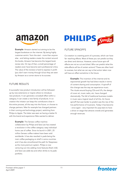

**Example:** Amazon started out aiming to be the largest bookstore on the internet. By being highly customer-centric `from the start - more than anyone else - and letting readers create the content around the books, Amazon has become the largest book review site. On top of that, a small percentage of readers even have become semi-professional critics. The value of the reviews is hard to express in profit (you don't earn money through it) but they are seen by Amazon as a corner stone to its success.

#### FUTURE RESULTS

A successful new product introduction will be followedup by new extensions or inspire others to introduce new products. It can generate a snowball effect within a category. It can create a new family of products. In cocreation the initiator can keep the contributors close in the entire process, all the way into the future, or choose to change partners. Nike for example has changed partners in their running and technology project, switching from Philips to Apple. The latter was seen as having a better fit with the brand and experience Nike wanted to deliver.

> Example: The Senseo coffee machine collaboration by Philips and Sara Lee has created a revolution in the coffee category: easy individual home use of coffee. Since its launch in 2001, 25 million Senseo coffee makers have been sold worldwide. It has also resulted in pads being the main coffee packaging on shelf in some countries and it has also smoothened the path for Nespresso as the more premium system. Philips is now venturing out into adding more features (fresh milk) and Sara Lee adds tea and other drinks to its pads portfolio.



#### FUTURE SPINOFFS

Co-creation is a starting point of a process, which can have far- reaching effects. Most of these you can predict as they are direct and obvious. However, some future spin-off effects are not so cut and dried. Who can predict what the side-effects will be of certain actions? These are often hard to oversee, but what we can say is that action taken now will have an effect sometime in the future.

> **Example:** The invention of the internet and its exponential growth has had direct results in terms of content sharing and consumption. A spinoff of this change was the way we experience music. The rituals around buying CDs and LPs, the design of cover art, music radio, etc. have changed dramatically. The fall of traditional business models in music was a logical result of all this. An future spinoff that was harder to predict was the rise of the live performance of musicians. Today it has become - once again - very important for pop-stars to have a show on stage that attracts crowds and generates enough revenues.